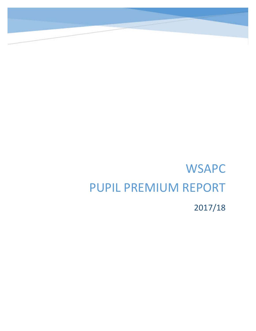# **WSAPC** PUPIL PREMIUM REPORT 2017/18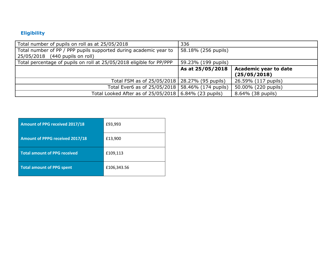## **Eligibility**

| Total number of pupils on roll as at 25/05/2018                                                      | 336                  |                                              |
|------------------------------------------------------------------------------------------------------|----------------------|----------------------------------------------|
| Total number of PP / PPP pupils supported during academic year to<br>25/05/2018 (440 pupils on roll) | 58.18% (256 pupils)  |                                              |
| Total percentage of pupils on roll at 25/05/2018 eligible for PP/PPP                                 | 59.23% (199 pupils)  |                                              |
|                                                                                                      | As at 25/05/2018     | <b>Academic year to date</b><br>(25/05/2018) |
| Total FSM as of 25/05/2018   28.27% (95 pupils)                                                      |                      | 26.59% (117 pupils)                          |
| Total Ever6 as of 25/05/2018                                                                         | 58.46% (174 pupils)  | 50.00% (220 pupils)                          |
| Total Looked After as of 25/05/2018                                                                  | $6.84\%$ (23 pupils) | 8.64% (38 pupils)                            |

| <b>Amount of PPG received 2017/18</b> | £93,993     |
|---------------------------------------|-------------|
| Amount of PPPG received 2017/18       | £13,900     |
| <b>Total amount of PPG received</b>   | £109,113    |
| <b>Total amount of PPG spent</b>      | £106,343.56 |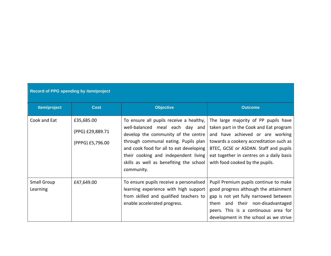| Record of PPG spending by item/project |                                                    |                                                                                                                                                                                                                                                                                                       |                                                                                                                                                                                                                                                                                       |  |  |
|----------------------------------------|----------------------------------------------------|-------------------------------------------------------------------------------------------------------------------------------------------------------------------------------------------------------------------------------------------------------------------------------------------------------|---------------------------------------------------------------------------------------------------------------------------------------------------------------------------------------------------------------------------------------------------------------------------------------|--|--|
| Item/project                           | <b>Cost</b>                                        | <b>Objective</b>                                                                                                                                                                                                                                                                                      | <b>Outcome</b>                                                                                                                                                                                                                                                                        |  |  |
| Cook and Eat                           | £35,685.00<br>(PPG) £29,889.71<br>(PPPG) £5,796.00 | To ensure all pupils receive a healthy,<br>well-balanced meal each day and<br>develop the community of the centre<br>through communal eating. Pupils plan<br>and cook food for all to eat developing<br>their cooking and independent living<br>skills as well as benefiting the school<br>community. | The large majority of PP pupils have<br>taken part in the Cook and Eat program<br>and have achieved or are working<br>towards a cookery accreditation such as<br>BTEC, GCSE or ASDAN. Staff and pupils<br>eat together in centres on a daily basis<br>with food cooked by the pupils. |  |  |
| Small Group<br>Learning                | £47,649.00                                         | To ensure pupils receive a personalised<br>learning experience with high support<br>from skilled and qualified teachers to<br>enable accelerated progress.                                                                                                                                            | Pupil Premium pupils continue to make<br>good progress although the attainment<br>gap is not yet fully narrowed between<br>them and their non-disadvantaged<br>peers. This is a continuous area for<br>development in the school as we strive                                         |  |  |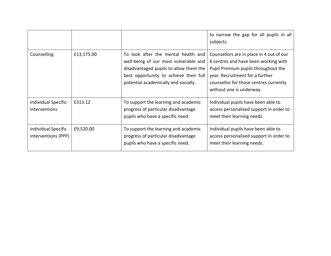|                                                    |            |                                                                                                                                                                                                          | to narrow the gap for all pupils in all<br>subjects.                                                                                                                                                                             |
|----------------------------------------------------|------------|----------------------------------------------------------------------------------------------------------------------------------------------------------------------------------------------------------|----------------------------------------------------------------------------------------------------------------------------------------------------------------------------------------------------------------------------------|
| Counselling                                        | £13,175.00 | To look after the mental health and<br>well-being of our most vulnerable and<br>disadvantaged pupils to allow them the<br>best opportunity to achieve their full<br>potential academically and socially. | Counsellors are in place in 4 out of our<br>6 centres and have been working with<br>Pupil Premium pupils throughout the<br>year. Recruitment for a further<br>counsellor for those centres currently<br>without one is underway. |
| <b>Individual Specific</b><br><b>Interventions</b> | £313.12    | To support the learning and academic<br>progress of particular disadvantage<br>pupils who have a specific need.                                                                                          | Individual pupils have been able to<br>access personalised support in order to<br>meet their learning needs.                                                                                                                     |
| <b>Individual Specific</b><br>Interventions (PPP)  | £9,520.00  | To support the learning and academic<br>progress of particular disadvantage<br>pupils who have a specific need.                                                                                          | Individual pupils have been able to<br>access personalised support in order to<br>meet their learning needs.                                                                                                                     |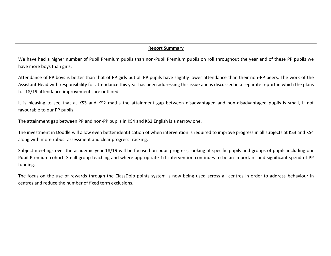#### **Report Summary**

We have had a higher number of Pupil Premium pupils than non-Pupil Premium pupils on roll throughout the year and of these PP pupils we have more boys than girls.

Attendance of PP boys is better than that of PP girls but all PP pupils have slightly lower attendance than their non-PP peers. The work of the Assistant Head with responsibility for attendance this year has been addressing this issue and is discussed in a separate report in which the plans for 18/19 attendance improvements are outlined.

It is pleasing to see that at KS3 and KS2 maths the attainment gap between disadvantaged and non-disadvantaged pupils is small, if not favourable to our PP pupils.

The attainment gap between PP and non-PP pupils in KS4 and KS2 English is a narrow one.

The investment in Doddle will allow even better identification of when intervention is required to improve progress in all subjects at KS3 and KS4 along with more robust assessment and clear progress tracking.

Subject meetings over the academic year 18/19 will be focused on pupil progress, looking at specific pupils and groups of pupils including our Pupil Premium cohort. Small group teaching and where appropriate 1:1 intervention continues to be an important and significant spend of PP funding.

The focus on the use of rewards through the ClassDojo points system is now being used across all centres in order to address behaviour in centres and reduce the number of fixed term exclusions.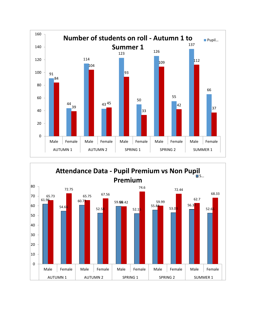

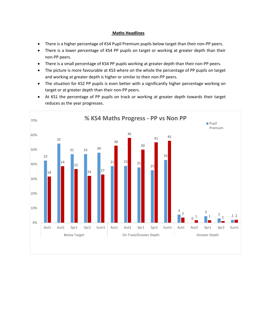#### **Maths Headlines**

- There is a higher percentage of KS4 Pupil Premium pupils below target than their non-PP peers.
- There is a lower percentage of KS4 PP pupils on target or working at greater depth than their non-PP peers.
- There is a small percentage of KS4 PP pupils working at greater depth than their non-PP peers.
- The picture is more favourable at KS3 where on the whole the percentage of PP pupils on target and working at greater depth is higher or similar to their non-PP peers.
- The situation for KS2 PP pupils is even better with a significantly higher percentage working on target or at greater depth than their non-PP peers.
- At KS1 the percentage of PP pupils on track or working at greater depth towards their target reduces as the year progresses.

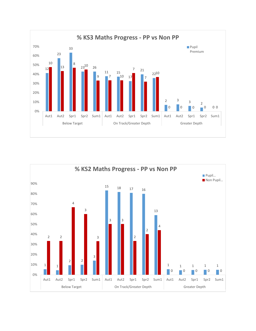

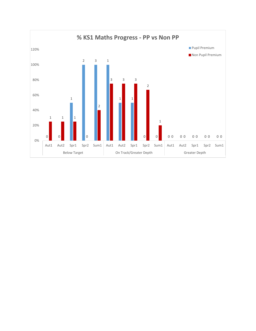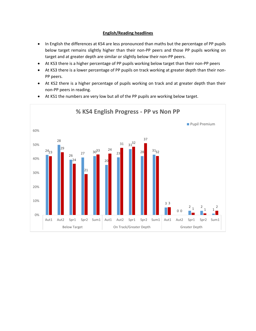### **English/Reading headlines**

- In English the differences at KS4 are less pronounced than maths but the percentage of PP pupils below target remains slightly higher than their non-PP peers and those PP pupils working on target and at greater depth are similar or slightly below their non-PP peers.
- At KS3 there is a higher percentage of PP pupils working below target than their non-PP peers
- At KS3 there is a lower percentage of PP pupils on track working at greater depth than their non-PP peers.
- At KS2 there is a higher percentage of pupils working on track and at greater depth than their non-PP peers in reading.



At KS1 the numbers are very low but all of the PP pupils are working below target.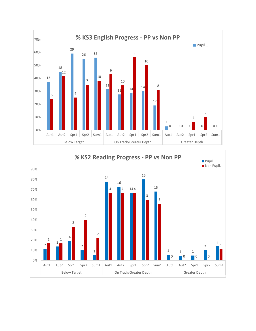

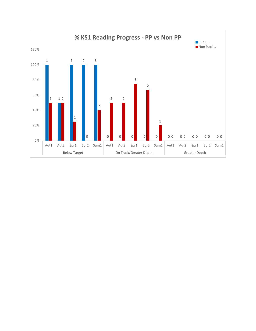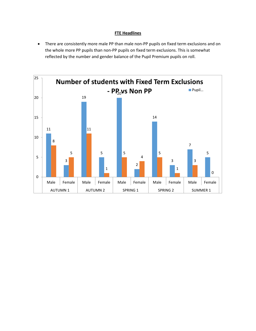#### **FTE Headlines**

 There are consistently more male PP than male non-PP pupils on fixed term exclusions and on the whole more PP pupils than non-PP pupils on fixed term exclusions. This is somewhat reflected by the number and gender balance of the Pupil Premium pupils on roll.